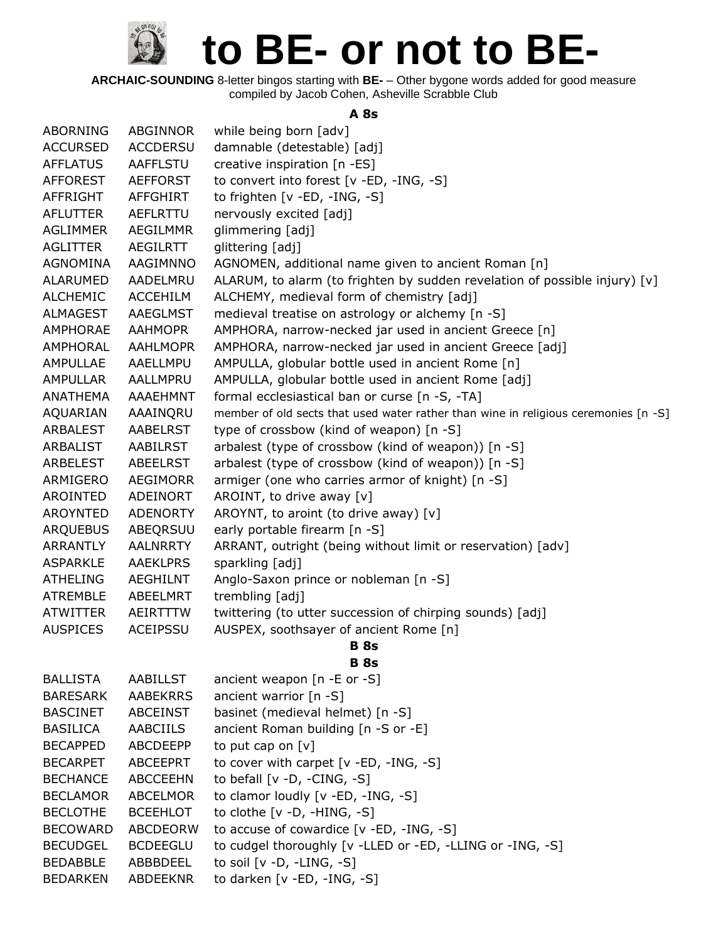**ARCHAIC-SOUNDING** 8-letter bingos starting with **BE-** – Other bygone words added for good measure compiled by Jacob Cohen, Asheville Scrabble Club

#### **A 8s**

| <b>ABORNING</b> | ABGINNOR        | while being born [adv]                                                              |
|-----------------|-----------------|-------------------------------------------------------------------------------------|
| <b>ACCURSED</b> | <b>ACCDERSU</b> | damnable (detestable) [adj]                                                         |
| <b>AFFLATUS</b> | AAFFLSTU        | creative inspiration [n -ES]                                                        |
| <b>AFFOREST</b> | <b>AEFFORST</b> | to convert into forest [v -ED, -ING, -S]                                            |
| AFFRIGHT        | <b>AFFGHIRT</b> | to frighten [v -ED, -ING, -S]                                                       |
| <b>AFLUTTER</b> | AEFLRTTU        | nervously excited [adj]                                                             |
| <b>AGLIMMER</b> | <b>AEGILMMR</b> | glimmering [adj]                                                                    |
| <b>AGLITTER</b> | <b>AEGILRTT</b> | glittering [adj]                                                                    |
| <b>AGNOMINA</b> | AAGIMNNO        | AGNOMEN, additional name given to ancient Roman [n]                                 |
| <b>ALARUMED</b> | AADELMRU        | ALARUM, to alarm (to frighten by sudden revelation of possible injury) [v]          |
| <b>ALCHEMIC</b> | <b>ACCEHILM</b> | ALCHEMY, medieval form of chemistry [adj]                                           |
| ALMAGEST        | AAEGLMST        | medieval treatise on astrology or alchemy [n -S]                                    |
| AMPHORAE        | <b>AAHMOPR</b>  | AMPHORA, narrow-necked jar used in ancient Greece [n]                               |
| AMPHORAL        | <b>AAHLMOPR</b> | AMPHORA, narrow-necked jar used in ancient Greece [adj]                             |
| AMPULLAE        | AAELLMPU        | AMPULLA, globular bottle used in ancient Rome [n]                                   |
| <b>AMPULLAR</b> | AALLMPRU        | AMPULLA, globular bottle used in ancient Rome [adj]                                 |
| <b>ANATHEMA</b> | AAAEHMNT        | formal ecclesiastical ban or curse [n -S, -TA]                                      |
| AQUARIAN        | AAAINQRU        | member of old sects that used water rather than wine in religious ceremonies [n -S] |
| <b>ARBALEST</b> | <b>AABELRST</b> | type of crossbow (kind of weapon) [n -S]                                            |
| <b>ARBALIST</b> | AABILRST        | arbalest (type of crossbow (kind of weapon)) [n -S]                                 |
| ARBELEST        | <b>ABEELRST</b> | arbalest (type of crossbow (kind of weapon)) [n -S]                                 |
| ARMIGERO        | <b>AEGIMORR</b> | armiger (one who carries armor of knight) [n -S]                                    |
| AROINTED        | ADEINORT        | AROINT, to drive away [v]                                                           |
| <b>AROYNTED</b> | <b>ADENORTY</b> | AROYNT, to aroint (to drive away) [v]                                               |
| <b>ARQUEBUS</b> | ABEQRSUU        | early portable firearm [n -S]                                                       |
| ARRANTLY        | <b>AALNRRTY</b> | ARRANT, outright (being without limit or reservation) [adv]                         |
| <b>ASPARKLE</b> | <b>AAEKLPRS</b> | sparkling [adj]                                                                     |
| <b>ATHELING</b> | <b>AEGHILNT</b> | Anglo-Saxon prince or nobleman [n -S]                                               |
| <b>ATREMBLE</b> | ABEELMRT        | trembling [adj]                                                                     |
| <b>ATWITTER</b> | AEIRTTTW        | twittering (to utter succession of chirping sounds) [adj]                           |
| <b>AUSPICES</b> | ACEIPSSU        | AUSPEX, soothsayer of ancient Rome [n]                                              |
|                 |                 | <b>B</b> 8s                                                                         |
|                 |                 | <b>B</b> 8s                                                                         |
| <b>BALLISTA</b> | <b>AABILLST</b> | ancient weapon $[n -E$ or $-S]$                                                     |
| <b>BARESARK</b> | <b>AABEKRRS</b> | ancient warrior [n -S]                                                              |
| <b>BASCINET</b> | <b>ABCEINST</b> | basinet (medieval helmet) [n -S]                                                    |
| <b>BASILICA</b> | <b>AABCIILS</b> | ancient Roman building [n -S or -E]                                                 |
| <b>BECAPPED</b> | ABCDEEPP        | to put cap on $[v]$                                                                 |
| <b>BECARPET</b> | <b>ABCEEPRT</b> | to cover with carpet $[v - ED, -ING, -S]$                                           |
| <b>BECHANCE</b> | <b>ABCCEEHN</b> | to befall $[v -D, -CING, -S]$                                                       |
| <b>BECLAMOR</b> | <b>ABCELMOR</b> | to clamor loudly [v -ED, -ING, -S]                                                  |
| <b>BECLOTHE</b> | <b>BCEEHLOT</b> | to clothe $[v -D, -HING, -S]$                                                       |
| <b>BECOWARD</b> | ABCDEORW        | to accuse of cowardice [v -ED, -ING, -S]                                            |
| <b>BECUDGEL</b> | <b>BCDEEGLU</b> | to cudgel thoroughly [v -LLED or -ED, -LLING or -ING, -S]                           |
| <b>BEDABBLE</b> | ABBBDEEL        | to soil $[v -D, -LING, -S]$                                                         |
| <b>BEDARKEN</b> | <b>ABDEEKNR</b> | to darken [v -ED, -ING, -S]                                                         |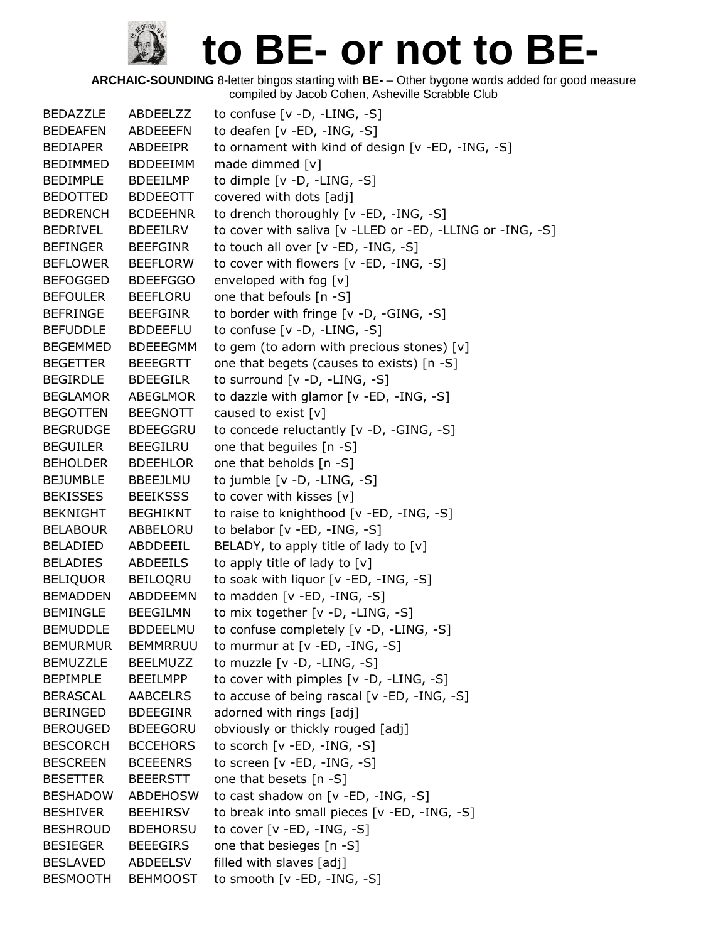| <b>BEDAZZLE</b> | ABDEELZZ        | to confuse $[v -D, -LING, -S]$                            |
|-----------------|-----------------|-----------------------------------------------------------|
| <b>BEDEAFEN</b> | <b>ABDEEEFN</b> | to deafen [v -ED, -ING, -S]                               |
| <b>BEDIAPER</b> | ABDEEIPR        | to ornament with kind of design [v -ED, -ING, -S]         |
| BEDIMMED        | <b>BDDEEIMM</b> | made dimmed [v]                                           |
| BEDIMPLE        | <b>BDEEILMP</b> | to dimple [v -D, -LING, -S]                               |
| BEDOTTED        | <b>BDDEEOTT</b> | covered with dots [adj]                                   |
| <b>BEDRENCH</b> | <b>BCDEEHNR</b> | to drench thoroughly [v -ED, -ING, -S]                    |
| BEDRIVEL        | <b>BDEEILRV</b> | to cover with saliva [v -LLED or -ED, -LLING or -ING, -S] |
| <b>BEFINGER</b> | <b>BEEFGINR</b> | to touch all over [v -ED, -ING, -S]                       |
| <b>BEFLOWER</b> | <b>BEEFLORW</b> | to cover with flowers [v -ED, -ING, -S]                   |
| <b>BEFOGGED</b> | <b>BDEEFGGO</b> | enveloped with fog [v]                                    |
| <b>BEFOULER</b> | <b>BEEFLORU</b> | one that befouls [n -S]                                   |
| BEFRINGE        | <b>BEEFGINR</b> | to border with fringe [v -D, -GING, -S]                   |
| <b>BEFUDDLE</b> | <b>BDDEEFLU</b> | to confuse $[v -D, -LING, -S]$                            |
| BEGEMMED        | <b>BDEEEGMM</b> | to gem (to adorn with precious stones) $[v]$              |
| <b>BEGETTER</b> | <b>BEEEGRTT</b> | one that begets (causes to exists) [n -S]                 |
| BEGIRDLE        | <b>BDEEGILR</b> | to surround [v -D, -LING, -S]                             |
| <b>BEGLAMOR</b> | <b>ABEGLMOR</b> | to dazzle with glamor [v -ED, -ING, -S]                   |
| <b>BEGOTTEN</b> | <b>BEEGNOTT</b> | caused to exist [v]                                       |
| <b>BEGRUDGE</b> | <b>BDEEGGRU</b> | to concede reluctantly [v -D, -GING, -S]                  |
| <b>BEGUILER</b> | <b>BEEGILRU</b> | one that beguiles [n -S]                                  |
| <b>BEHOLDER</b> | <b>BDEEHLOR</b> | one that beholds [n -S]                                   |
| BEJUMBLE        | BBEEJLMU        | to jumble [v -D, -LING, -S]                               |
| <b>BEKISSES</b> | <b>BEEIKSSS</b> | to cover with kisses [v]                                  |
| BEKNIGHT        | <b>BEGHIKNT</b> | to raise to knighthood [v -ED, -ING, -S]                  |
| <b>BELABOUR</b> | ABBELORU        | to belabor [v -ED, -ING, -S]                              |
| BELADIED        | ABDDEEIL        | BELADY, to apply title of lady to [v]                     |
| <b>BELADIES</b> | ABDEEILS        | to apply title of lady to [v]                             |
| BELIQUOR        | BEILOORU        | to soak with liquor [v -ED, -ING, -S]                     |
| <b>BEMADDEN</b> | ABDDEEMN        | to madden $[v - ED, -ING, -S]$                            |
| BEMINGLE        | <b>BEEGILMN</b> | to mix together [v -D, -LING, -S]                         |
| <b>BEMUDDLE</b> | <b>BDDEELMU</b> | to confuse completely [v -D, -LING, -S]                   |
| <b>BEMURMUR</b> | <b>BEMMRRUU</b> | to murmur at [v -ED, -ING, -S]                            |
| <b>BEMUZZLE</b> | <b>BEELMUZZ</b> | to muzzle [v -D, -LING, -S]                               |
| <b>BEPIMPLE</b> | <b>BEEILMPP</b> | to cover with pimples $[v -D, -LING, -S]$                 |
| BERASCAL        | AABCELRS        | to accuse of being rascal [v -ED, -ING, -S]               |
| BERINGED        | <b>BDEEGINR</b> | adorned with rings [adj]                                  |
| <b>BEROUGED</b> | <b>BDEEGORU</b> | obviously or thickly rouged [adj]                         |
| <b>BESCORCH</b> | <b>BCCEHORS</b> | to scorch [v -ED, -ING, -S]                               |
| <b>BESCREEN</b> | <b>BCEEENRS</b> | to screen $[v - ED, -ING, -S]$                            |
| <b>BESETTER</b> | <b>BEEERSTT</b> | one that besets [n -S]                                    |
| <b>BESHADOW</b> | <b>ABDEHOSW</b> | to cast shadow on [v -ED, -ING, -S]                       |
| <b>BESHIVER</b> | <b>BEEHIRSV</b> | to break into small pieces [v -ED, -ING, -S]              |
| <b>BESHROUD</b> | <b>BDEHORSU</b> | to cover $[v - ED, -ING, -S]$                             |
| <b>BESIEGER</b> | <b>BEEEGIRS</b> | one that besieges [n -S]                                  |
| <b>BESLAVED</b> | ABDEELSV        | filled with slaves [adj]                                  |
| <b>BESMOOTH</b> | <b>BEHMOOST</b> | to smooth $[v - ED, -ING, -S]$                            |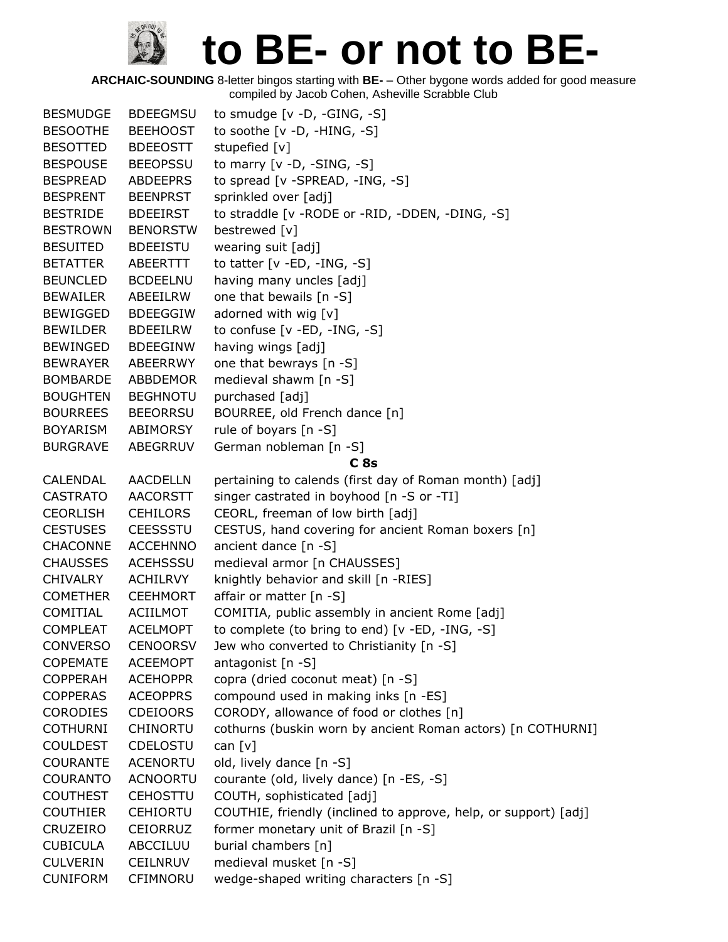| <b>BESMUDGE</b> | <b>BDEEGMSU</b> | to smudge $[v -D, -GING, -S]$                                   |
|-----------------|-----------------|-----------------------------------------------------------------|
| <b>BESOOTHE</b> | <b>BEEHOOST</b> | to soothe $[v -D, -HING, -S]$                                   |
| <b>BESOTTED</b> | <b>BDEEOSTT</b> | stupefied [v]                                                   |
| <b>BESPOUSE</b> | <b>BEEOPSSU</b> | to marry $[v -D, -SING, -S]$                                    |
| <b>BESPREAD</b> | ABDEEPRS        | to spread [v -SPREAD, -ING, -S]                                 |
| <b>BESPRENT</b> | <b>BEENPRST</b> | sprinkled over [adj]                                            |
| <b>BESTRIDE</b> | <b>BDEEIRST</b> | to straddle [v - RODE or - RID, - DDEN, - DING, - S]            |
| <b>BESTROWN</b> | <b>BENORSTW</b> | bestrewed [v]                                                   |
| <b>BESUITED</b> | <b>BDEEISTU</b> | wearing suit [adj]                                              |
| <b>BETATTER</b> | ABEERTTT        | to tatter $[v - ED, -ING, -S]$                                  |
| <b>BEUNCLED</b> | <b>BCDEELNU</b> | having many uncles [adj]                                        |
| <b>BEWAILER</b> | ABEEILRW        | one that bewails [n -S]                                         |
| <b>BEWIGGED</b> | <b>BDEEGGIW</b> | adorned with wig [v]                                            |
| <b>BEWILDER</b> | <b>BDEEILRW</b> | to confuse $[v - ED, -ING, -S]$                                 |
| <b>BEWINGED</b> | <b>BDEEGINW</b> | having wings [adj]                                              |
| <b>BEWRAYER</b> | ABEERRWY        | one that bewrays [n -S]                                         |
| <b>BOMBARDE</b> | <b>ABBDEMOR</b> | medieval shawm [n -S]                                           |
| <b>BOUGHTEN</b> | <b>BEGHNOTU</b> | purchased [adj]                                                 |
| <b>BOURREES</b> | <b>BEEORRSU</b> | BOURREE, old French dance [n]                                   |
| <b>BOYARISM</b> | ABIMORSY        | rule of boyars $[n - S]$                                        |
| <b>BURGRAVE</b> | ABEGRRUV        | German nobleman [n -S]                                          |
|                 |                 | C <sub>8s</sub>                                                 |
| CALENDAL        | <b>AACDELLN</b> | pertaining to calends (first day of Roman month) [adj]          |
| <b>CASTRATO</b> | <b>AACORSTT</b> | singer castrated in boyhood [n -S or -TI]                       |
| <b>CEORLISH</b> | <b>CEHILORS</b> | CEORL, freeman of low birth [adj]                               |
| <b>CESTUSES</b> | <b>CEESSSTU</b> | CESTUS, hand covering for ancient Roman boxers [n]              |
| <b>CHACONNE</b> | <b>ACCEHNNO</b> | ancient dance [n -S]                                            |
| <b>CHAUSSES</b> | <b>ACEHSSSU</b> | medieval armor [n CHAUSSES]                                     |
| <b>CHIVALRY</b> | <b>ACHILRVY</b> | knightly behavior and skill [n -RIES]                           |
| <b>COMETHER</b> | <b>CEEHMORT</b> | affair or matter [n -S]                                         |
| COMITIAL        | ACIILMOT        | COMITIA, public assembly in ancient Rome [adj]                  |
| <b>COMPLEAT</b> | <b>ACELMOPT</b> | to complete (to bring to end) [v -ED, -ING, -S]                 |
| <b>CONVERSO</b> | <b>CENOORSV</b> | Jew who converted to Christianity [n -S]                        |
| <b>COPEMATE</b> | <b>ACEEMOPT</b> | antagonist [n -S]                                               |
| COPPERAH        | <b>ACEHOPPR</b> | copra (dried coconut meat) [n -S]                               |
| <b>COPPERAS</b> | <b>ACEOPPRS</b> | compound used in making inks [n -ES]                            |
| <b>CORODIES</b> | <b>CDEIOORS</b> | CORODY, allowance of food or clothes [n]                        |
| <b>COTHURNI</b> | CHINORTU        | cothurns (buskin worn by ancient Roman actors) [n COTHURNI]     |
| <b>COULDEST</b> | CDELOSTU        | can $[v]$                                                       |
| <b>COURANTE</b> | <b>ACENORTU</b> | old, lively dance [n -S]                                        |
| <b>COURANTO</b> | <b>ACNOORTU</b> | courante (old, lively dance) [n -ES, -S]                        |
| <b>COUTHEST</b> | <b>CEHOSTTU</b> | COUTH, sophisticated [adj]                                      |
| <b>COUTHIER</b> | <b>CEHIORTU</b> | COUTHIE, friendly (inclined to approve, help, or support) [adj] |
| CRUZEIRO        | CEIORRUZ        | former monetary unit of Brazil [n -S]                           |
| <b>CUBICULA</b> | ABCCILUU        | burial chambers [n]                                             |
| <b>CULVERIN</b> | <b>CEILNRUV</b> | medieval musket [n -S]                                          |
| <b>CUNIFORM</b> | CFIMNORU        | wedge-shaped writing characters [n -S]                          |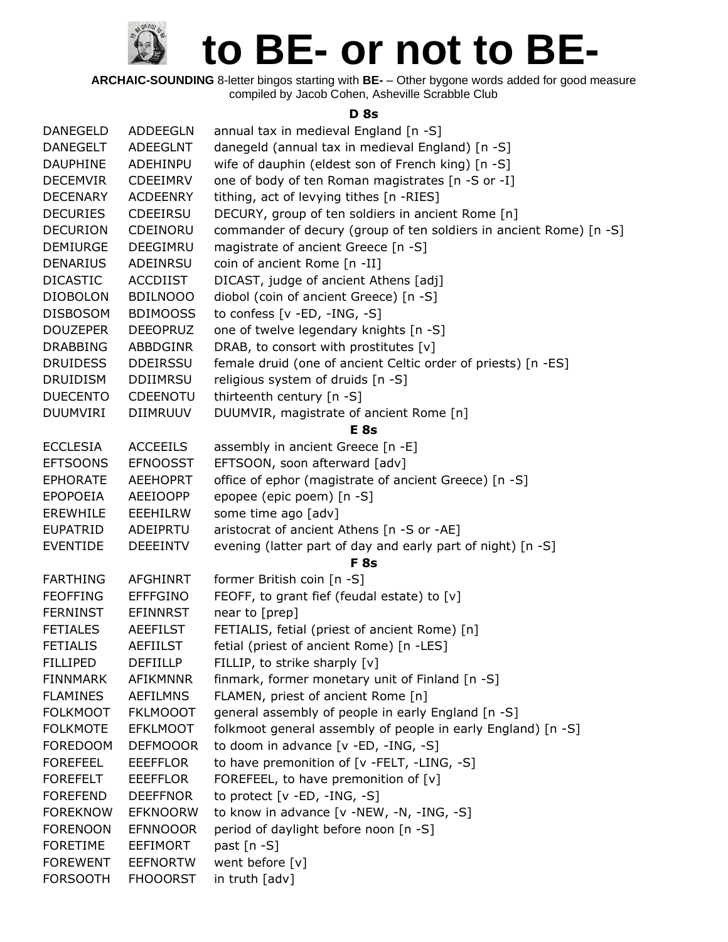**ARCHAIC-SOUNDING** 8-letter bingos starting with **BE-** – Other bygone words added for good measure compiled by Jacob Cohen, Asheville Scrabble Club

#### **D 8s**

| <b>DANEGELD</b> | ADDEEGLN        | annual tax in medieval England [n -S]                              |
|-----------------|-----------------|--------------------------------------------------------------------|
| <b>DANEGELT</b> | ADEEGLNT        | danegeld (annual tax in medieval England) [n -S]                   |
| <b>DAUPHINE</b> | ADEHINPU        | wife of dauphin (eldest son of French king) [n -S]                 |
| <b>DECEMVIR</b> | <b>CDEEIMRV</b> | one of body of ten Roman magistrates [n -S or -I]                  |
| <b>DECENARY</b> | <b>ACDEENRY</b> | tithing, act of levying tithes [n -RIES]                           |
| <b>DECURIES</b> | <b>CDEEIRSU</b> | DECURY, group of ten soldiers in ancient Rome [n]                  |
| <b>DECURION</b> | CDEINORU        | commander of decury (group of ten soldiers in ancient Rome) [n -S] |
| <b>DEMIURGE</b> | <b>DEEGIMRU</b> | magistrate of ancient Greece [n -S]                                |
| <b>DENARIUS</b> | ADEINRSU        | coin of ancient Rome [n -II]                                       |
| <b>DICASTIC</b> | <b>ACCDIIST</b> | DICAST, judge of ancient Athens [adj]                              |
| <b>DIOBOLON</b> | <b>BDILNOOO</b> | diobol (coin of ancient Greece) [n -S]                             |
| <b>DISBOSOM</b> | <b>BDIMOOSS</b> | to confess [v -ED, -ING, -S]                                       |
| <b>DOUZEPER</b> | <b>DEEOPRUZ</b> | one of twelve legendary knights [n -S]                             |
| <b>DRABBING</b> | ABBDGINR        | DRAB, to consort with prostitutes [v]                              |
| <b>DRUIDESS</b> | <b>DDEIRSSU</b> | female druid (one of ancient Celtic order of priests) [n -ES]      |
| <b>DRUIDISM</b> | <b>DDIIMRSU</b> | religious system of druids [n -S]                                  |
| <b>DUECENTO</b> | <b>CDEENOTU</b> | thirteenth century [n -S]                                          |
| <b>DUUMVIRI</b> | <b>DIIMRUUV</b> | DUUMVIR, magistrate of ancient Rome [n]                            |
|                 |                 | E <sub>8s</sub>                                                    |
| <b>ECCLESIA</b> | <b>ACCEEILS</b> | assembly in ancient Greece [n -E]                                  |
| <b>EFTSOONS</b> | <b>EFNOOSST</b> | EFTSOON, soon afterward [adv]                                      |
| <b>EPHORATE</b> | <b>AEEHOPRT</b> | office of ephor (magistrate of ancient Greece) [n -S]              |
| <b>EPOPOEIA</b> | <b>AEEIOOPP</b> | epopee (epic poem) [n -S]                                          |
| <b>EREWHILE</b> | <b>EEEHILRW</b> | some time ago [adv]                                                |
| <b>EUPATRID</b> | ADEIPRTU        | aristocrat of ancient Athens [n -S or -AE]                         |
| <b>EVENTIDE</b> | <b>DEEEINTV</b> | evening (latter part of day and early part of night) [n -S]        |
|                 |                 | F <sub>8s</sub>                                                    |
| <b>FARTHING</b> | <b>AFGHINRT</b> | former British coin [n -S]                                         |
| <b>FEOFFING</b> | <b>EFFFGINO</b> | FEOFF, to grant fief (feudal estate) to [v]                        |
| <b>FERNINST</b> | <b>EFINNRST</b> | near to [prep]                                                     |
| <b>FETIALES</b> | <b>AEEFILST</b> | FETIALIS, fetial (priest of ancient Rome) [n]                      |
| <b>FETIALIS</b> | <b>AEFIILST</b> | fetial (priest of ancient Rome) [n -LES]                           |
| <b>FILLIPED</b> | <b>DEFIILLP</b> | FILLIP, to strike sharply [v]                                      |
| <b>FINNMARK</b> | <b>AFIKMNNR</b> | finmark, former monetary unit of Finland [n -S]                    |
| <b>FLAMINES</b> | <b>AEFILMNS</b> | FLAMEN, priest of ancient Rome [n]                                 |
| <b>FOLKMOOT</b> | <b>FKLMOOOT</b> | general assembly of people in early England [n -S]                 |
| <b>FOLKMOTE</b> | <b>EFKLMOOT</b> | folkmoot general assembly of people in early England) [n -S]       |
| <b>FOREDOOM</b> | <b>DEFMOOOR</b> | to doom in advance [v -ED, -ING, -S]                               |
| <b>FOREFEEL</b> | <b>EEEFFLOR</b> | to have premonition of [v -FELT, -LING, -S]                        |
| <b>FOREFELT</b> | <b>EEEFFLOR</b> | FOREFEEL, to have premonition of [v]                               |
| <b>FOREFEND</b> | <b>DEEFFNOR</b> | to protect $[v - ED, -ING, -S]$                                    |
| <b>FOREKNOW</b> | <b>EFKNOORW</b> | to know in advance [v -NEW, -N, -ING, -S]                          |
| <b>FORENOON</b> | <b>EFNNOOOR</b> | period of daylight before noon [n -S]                              |
| <b>FORETIME</b> | <b>EEFIMORT</b> | past $[n - S]$                                                     |
| <b>FOREWENT</b> | <b>EEFNORTW</b> | went before [v]                                                    |
| <b>FORSOOTH</b> | <b>FHOOORST</b> | in truth [adv]                                                     |
|                 |                 |                                                                    |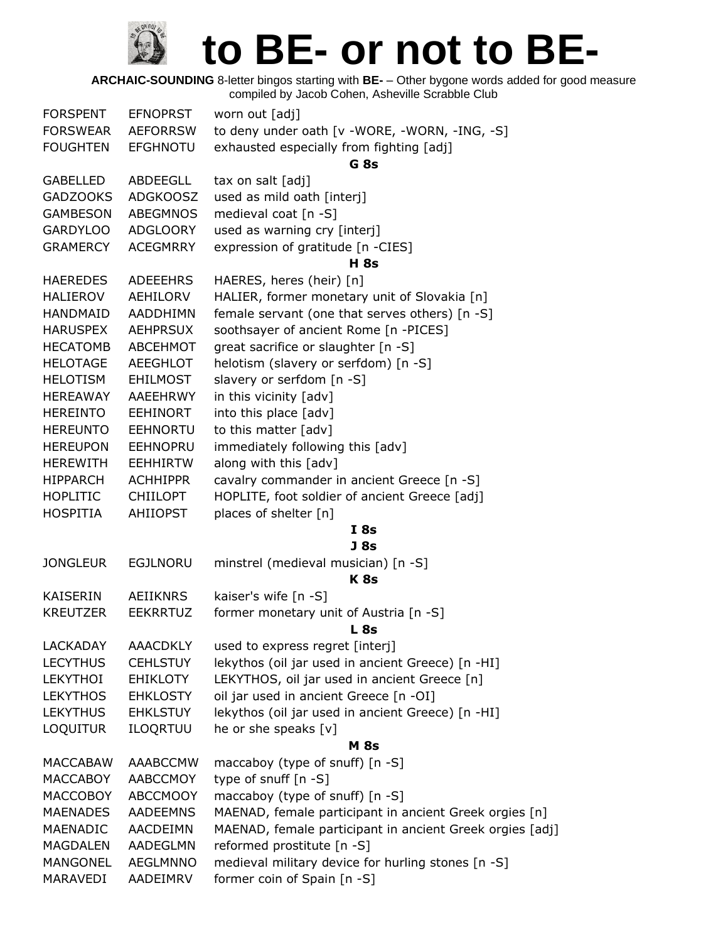| <b>FORSPENT</b> | <b>EFNOPRST</b> | worn out [adj]                                           |
|-----------------|-----------------|----------------------------------------------------------|
| <b>FORSWEAR</b> | <b>AEFORRSW</b> | to deny under oath [v -WORE, -WORN, -ING, -S]            |
| <b>FOUGHTEN</b> | <b>EFGHNOTU</b> | exhausted especially from fighting [adj]                 |
|                 |                 | G <sub>8s</sub>                                          |
| <b>GABELLED</b> | ABDEEGLL        | tax on salt [adj]                                        |
| <b>GADZOOKS</b> | <b>ADGKOOSZ</b> | used as mild oath [interj]                               |
| <b>GAMBESON</b> | <b>ABEGMNOS</b> | medieval coat [n -S]                                     |
| <b>GARDYLOO</b> | ADGLOORY        | used as warning cry [interj]                             |
| <b>GRAMERCY</b> | <b>ACEGMRRY</b> | expression of gratitude [n -CIES]                        |
|                 |                 | <b>H</b> 8s                                              |
| <b>HAEREDES</b> | <b>ADEEEHRS</b> | HAERES, heres (heir) [n]                                 |
| <b>HALIEROV</b> | AEHILORV        | HALIER, former monetary unit of Slovakia [n]             |
| HANDMAID        | AADDHIMN        | female servant (one that serves others) [n -S]           |
| <b>HARUSPEX</b> | <b>AEHPRSUX</b> | soothsayer of ancient Rome [n -PICES]                    |
| <b>HECATOMB</b> | ABCEHMOT        | great sacrifice or slaughter [n -S]                      |
| <b>HELOTAGE</b> | <b>AEEGHLOT</b> | helotism (slavery or serfdom) [n -S]                     |
| <b>HELOTISM</b> | <b>EHILMOST</b> | slavery or serfdom [n -S]                                |
| <b>HEREAWAY</b> | <b>AAEEHRWY</b> | in this vicinity [adv]                                   |
| <b>HEREINTO</b> | <b>EEHINORT</b> | into this place [adv]                                    |
| <b>HEREUNTO</b> | <b>EEHNORTU</b> | to this matter [adv]                                     |
| <b>HEREUPON</b> | <b>EEHNOPRU</b> | immediately following this [adv]                         |
| <b>HEREWITH</b> | <b>EEHHIRTW</b> | along with this [adv]                                    |
| <b>HIPPARCH</b> | <b>ACHHIPPR</b> | cavalry commander in ancient Greece [n -S]               |
| <b>HOPLITIC</b> | <b>CHIILOPT</b> | HOPLITE, foot soldier of ancient Greece [adj]            |
| <b>HOSPITIA</b> | <b>AHIIOPST</b> | places of shelter [n]                                    |
|                 |                 | I8s                                                      |
|                 |                 | J 8s                                                     |
| <b>JONGLEUR</b> | <b>EGJLNORU</b> | minstrel (medieval musician) [n -S]                      |
|                 |                 | K <sub>8s</sub>                                          |
| KAISERIN        | <b>AEIIKNRS</b> | kaiser's wife [n -S]                                     |
| <b>KREUTZER</b> | <b>EEKRRTUZ</b> | former monetary unit of Austria [n -S]                   |
|                 |                 | <b>L</b> 8s                                              |
| <b>LACKADAY</b> | <b>AAACDKLY</b> | used to express regret [interj]                          |
| <b>LECYTHUS</b> | <b>CEHLSTUY</b> | lekythos (oil jar used in ancient Greece) [n -HI]        |
| <b>LEKYTHOI</b> | <b>EHIKLOTY</b> | LEKYTHOS, oil jar used in ancient Greece [n]             |
| <b>LEKYTHOS</b> | <b>EHKLOSTY</b> | oil jar used in ancient Greece [n -OI]                   |
| <b>LEKYTHUS</b> | <b>EHKLSTUY</b> | lekythos (oil jar used in ancient Greece) [n -HI]        |
| <b>LOQUITUR</b> | ILOQRTUU        | he or she speaks [v]                                     |
|                 |                 | <b>M</b> 8s                                              |
| MACCABAW        | AAABCCMW        | maccaboy (type of snuff) [n -S]                          |
| <b>MACCABOY</b> | AABCCMOY        | type of snuff $[n - S]$                                  |
| <b>MACCOBOY</b> | <b>ABCCMOOY</b> | maccaboy (type of snuff) [n -S]                          |
| <b>MAENADES</b> | <b>AADEEMNS</b> | MAENAD, female participant in ancient Greek orgies [n]   |
| MAENADIC        | <b>AACDEIMN</b> | MAENAD, female participant in ancient Greek orgies [adj] |
| <b>MAGDALEN</b> | AADEGLMN        | reformed prostitute [n -S]                               |
| MANGONEL        | <b>AEGLMNNO</b> | medieval military device for hurling stones [n -S]       |
| MARAVEDI        | AADEIMRV        | former coin of Spain [n -S]                              |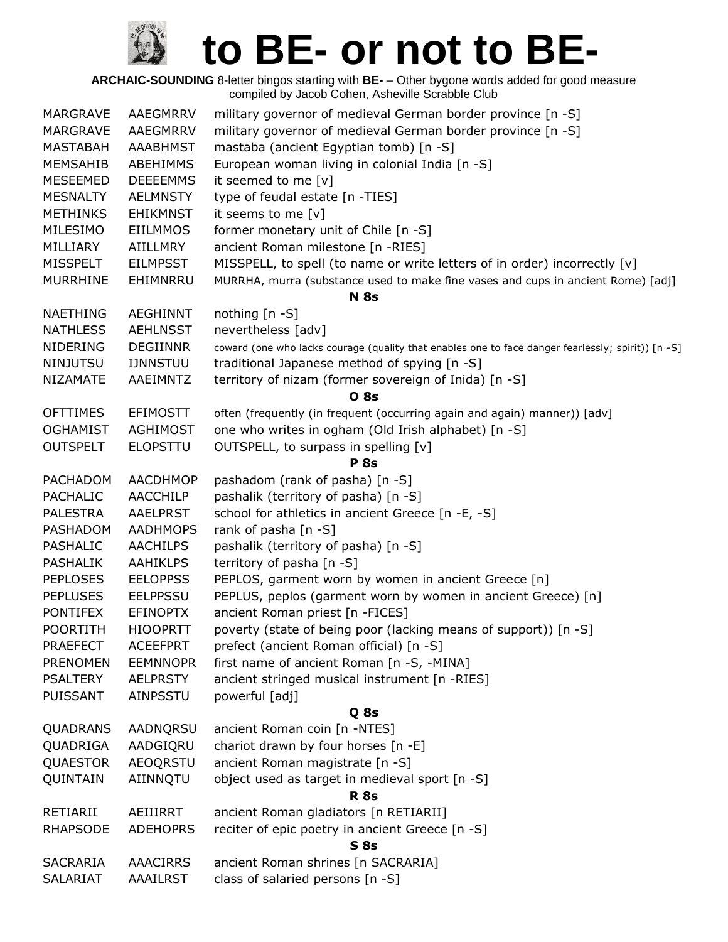| AAEGMRRV        | military governor of medieval German border province [n -S]                                                                                                                       |
|-----------------|-----------------------------------------------------------------------------------------------------------------------------------------------------------------------------------|
| AAEGMRRV        | military governor of medieval German border province [n -S]                                                                                                                       |
| <b>AAABHMST</b> | mastaba (ancient Egyptian tomb) [n -S]                                                                                                                                            |
| ABEHIMMS        | European woman living in colonial India [n -S]                                                                                                                                    |
| <b>DEEEEMMS</b> | it seemed to me [v]                                                                                                                                                               |
| <b>AELMNSTY</b> | type of feudal estate [n -TIES]                                                                                                                                                   |
| <b>EHIKMNST</b> | it seems to me [v]                                                                                                                                                                |
| <b>EIILMMOS</b> | former monetary unit of Chile [n -S]                                                                                                                                              |
| <b>AIILLMRY</b> | ancient Roman milestone [n -RIES]                                                                                                                                                 |
|                 | MISSPELL, to spell (to name or write letters of in order) incorrectly [v]                                                                                                         |
|                 | MURRHA, murra (substance used to make fine vases and cups in ancient Rome) [adj]                                                                                                  |
|                 | <b>N</b> 8s                                                                                                                                                                       |
| <b>AEGHINNT</b> | nothing $[n - S]$                                                                                                                                                                 |
|                 | nevertheless [adv]                                                                                                                                                                |
|                 | coward (one who lacks courage (quality that enables one to face danger fearlessly; spirit)) [n -S]                                                                                |
|                 | traditional Japanese method of spying [n -S]                                                                                                                                      |
|                 | territory of nizam (former sovereign of Inida) [n -S]                                                                                                                             |
|                 | <b>O</b> 8s                                                                                                                                                                       |
| <b>EFIMOSTT</b> | often (frequently (in frequent (occurring again and again) manner)) [adv]                                                                                                         |
|                 | one who writes in ogham (Old Irish alphabet) [n -S]                                                                                                                               |
| <b>ELOPSTTU</b> | OUTSPELL, to surpass in spelling [v]                                                                                                                                              |
|                 | <b>P</b> 8s                                                                                                                                                                       |
| AACDHMOP        | pashadom (rank of pasha) [n -S]                                                                                                                                                   |
| <b>AACCHILP</b> | pashalik (territory of pasha) [n -S]                                                                                                                                              |
| <b>AAELPRST</b> | school for athletics in ancient Greece [n -E, -S]                                                                                                                                 |
| <b>AADHMOPS</b> | rank of pasha $[n - S]$                                                                                                                                                           |
| <b>AACHILPS</b> | pashalik (territory of pasha) [n -S]                                                                                                                                              |
| <b>AAHIKLPS</b> | territory of pasha [n -S]                                                                                                                                                         |
| <b>EELOPPSS</b> | PEPLOS, garment worn by women in ancient Greece [n]                                                                                                                               |
| <b>EELPPSSU</b> | PEPLUS, peplos (garment worn by women in ancient Greece) [n]                                                                                                                      |
| <b>EFINOPTX</b> | ancient Roman priest [n -FICES]                                                                                                                                                   |
| <b>HIOOPRTT</b> | poverty (state of being poor (lacking means of support)) [n -S]                                                                                                                   |
| <b>ACEEFPRT</b> | prefect (ancient Roman official) [n -S]                                                                                                                                           |
| <b>EEMNNOPR</b> | first name of ancient Roman [n -S, -MINA]                                                                                                                                         |
|                 | ancient stringed musical instrument [n -RIES]                                                                                                                                     |
|                 | powerful [adj]                                                                                                                                                                    |
|                 | Q 8s                                                                                                                                                                              |
| AADNQRSU        | ancient Roman coin [n -NTES]                                                                                                                                                      |
| AADGIQRU        | chariot drawn by four horses [n -E]                                                                                                                                               |
|                 | ancient Roman magistrate [n -S]                                                                                                                                                   |
|                 | object used as target in medieval sport [n -S]                                                                                                                                    |
|                 | <b>R</b> 8s                                                                                                                                                                       |
| AEIIIRRT        | ancient Roman gladiators [n RETIARII]                                                                                                                                             |
| <b>ADEHOPRS</b> | reciter of epic poetry in ancient Greece [n -S]                                                                                                                                   |
|                 | <b>S</b> 8s                                                                                                                                                                       |
| <b>AAACIRRS</b> | ancient Roman shrines [n SACRARIA]                                                                                                                                                |
| AAAILRST        | class of salaried persons [n -S]                                                                                                                                                  |
|                 | <b>EILMPSST</b><br>EHIMNRRU<br><b>AEHLNSST</b><br><b>DEGIINNR</b><br><b>IJNNSTUU</b><br>AAEIMNTZ<br><b>AGHIMOST</b><br><b>AELPRSTY</b><br>AINPSSTU<br><b>AEOQRSTU</b><br>AIINNQTU |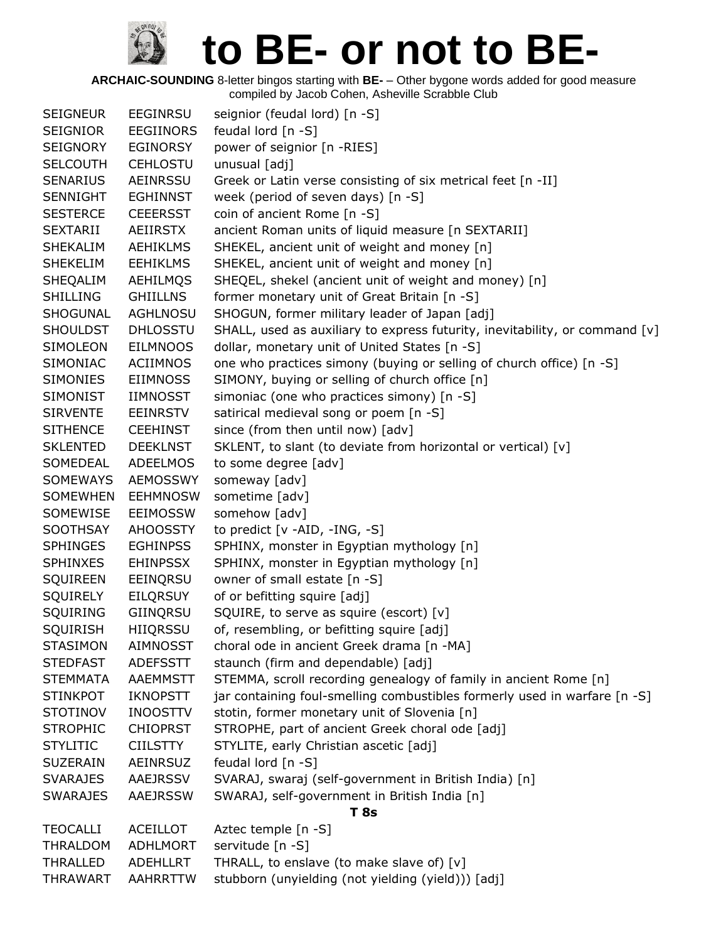| <b>SEIGNEUR</b> | <b>EEGINRSU</b>  | seignior (feudal lord) [n -S]                                               |
|-----------------|------------------|-----------------------------------------------------------------------------|
| <b>SEIGNIOR</b> | <b>EEGIINORS</b> | feudal lord [n -S]                                                          |
| <b>SEIGNORY</b> | EGINORSY         | power of seignior [n -RIES]                                                 |
| <b>SELCOUTH</b> | <b>CEHLOSTU</b>  | unusual [adj]                                                               |
| <b>SENARIUS</b> | <b>AEINRSSU</b>  | Greek or Latin verse consisting of six metrical feet [n -II]                |
| <b>SENNIGHT</b> | <b>EGHINNST</b>  | week (period of seven days) [n -S]                                          |
| <b>SESTERCE</b> | <b>CEEERSST</b>  | coin of ancient Rome [n -S]                                                 |
| <b>SEXTARII</b> | AEIIRSTX         | ancient Roman units of liquid measure [n SEXTARII]                          |
| <b>SHEKALIM</b> | <b>AEHIKLMS</b>  | SHEKEL, ancient unit of weight and money [n]                                |
| <b>SHEKELIM</b> | <b>EEHIKLMS</b>  | SHEKEL, ancient unit of weight and money [n]                                |
| SHEQALIM        | AEHILMQS         | SHEQEL, shekel (ancient unit of weight and money) [n]                       |
| <b>SHILLING</b> | <b>GHIILLNS</b>  | former monetary unit of Great Britain [n -S]                                |
| SHOGUNAL        | <b>AGHLNOSU</b>  | SHOGUN, former military leader of Japan [adj]                               |
| <b>SHOULDST</b> | <b>DHLOSSTU</b>  | SHALL, used as auxiliary to express futurity, inevitability, or command [v] |
| <b>SIMOLEON</b> | <b>EILMNOOS</b>  | dollar, monetary unit of United States [n -S]                               |
| SIMONIAC        | ACIIMNOS         | one who practices simony (buying or selling of church office) [n -S]        |
| <b>SIMONIES</b> | <b>EIIMNOSS</b>  | SIMONY, buying or selling of church office [n]                              |
| <b>SIMONIST</b> | <b>IIMNOSST</b>  | simoniac (one who practices simony) [n -S]                                  |
| <b>SIRVENTE</b> | <b>EEINRSTV</b>  | satirical medieval song or poem [n -S]                                      |
| <b>SITHENCE</b> | <b>CEEHINST</b>  | since (from then until now) [adv]                                           |
| <b>SKLENTED</b> | <b>DEEKLNST</b>  | SKLENT, to slant (to deviate from horizontal or vertical) [v]               |
| SOMEDEAL        | ADEELMOS         | to some degree [adv]                                                        |
| <b>SOMEWAYS</b> | <b>AEMOSSWY</b>  | someway [adv]                                                               |
| <b>SOMEWHEN</b> | <b>EEHMNOSW</b>  | sometime [adv]                                                              |
| SOMEWISE        | <b>EEIMOSSW</b>  | somehow [adv]                                                               |
| SOOTHSAY        | <b>AHOOSSTY</b>  | to predict [v -AID, -ING, -S]                                               |
| <b>SPHINGES</b> | <b>EGHINPSS</b>  | SPHINX, monster in Egyptian mythology [n]                                   |
| <b>SPHINXES</b> | <b>EHINPSSX</b>  | SPHINX, monster in Egyptian mythology [n]                                   |
| <b>SQUIREEN</b> | EEINQRSU         | owner of small estate [n -S]                                                |
| <b>SQUIRELY</b> | <b>EILQRSUY</b>  | of or befitting squire [adj]                                                |
| SQUIRING        | GIINQRSU         | SQUIRE, to serve as squire (escort) [v]                                     |
| <b>SQUIRISH</b> | <b>HIIQRSSU</b>  | of, resembling, or befitting squire [adj]                                   |
| <b>STASIMON</b> | <b>AIMNOSST</b>  | choral ode in ancient Greek drama [n -MA]                                   |
| <b>STEDFAST</b> | <b>ADEFSSTT</b>  | staunch (firm and dependable) [adj]                                         |
| <b>STEMMATA</b> | AAEMMSTT         | STEMMA, scroll recording genealogy of family in ancient Rome [n]            |
| <b>STINKPOT</b> | <b>IKNOPSTT</b>  | jar containing foul-smelling combustibles formerly used in warfare [n -S]   |
| <b>STOTINOV</b> | <b>INOOSTTV</b>  | stotin, former monetary unit of Slovenia [n]                                |
| <b>STROPHIC</b> | <b>CHIOPRST</b>  | STROPHE, part of ancient Greek choral ode [adj]                             |
| <b>STYLITIC</b> | <b>CIILSTTY</b>  | STYLITE, early Christian ascetic [adj]                                      |
| <b>SUZERAIN</b> | <b>AEINRSUZ</b>  | feudal lord [n -S]                                                          |
| <b>SVARAJES</b> | AAEJRSSV         | SVARAJ, swaraj (self-government in British India) [n]                       |
| <b>SWARAJES</b> | AAEJRSSW         | SWARAJ, self-government in British India [n]                                |
|                 |                  | <b>T</b> 8s                                                                 |
| <b>TEOCALLI</b> | <b>ACEILLOT</b>  | Aztec temple [n -S]                                                         |
| THRALDOM        | ADHLMORT         | servitude [n -S]                                                            |
| THRALLED        | ADEHLLRT         | THRALL, to enslave (to make slave of) [v]                                   |
| <b>THRAWART</b> | AAHRRTTW         | stubborn (unyielding (not yielding (yield))) [adj]                          |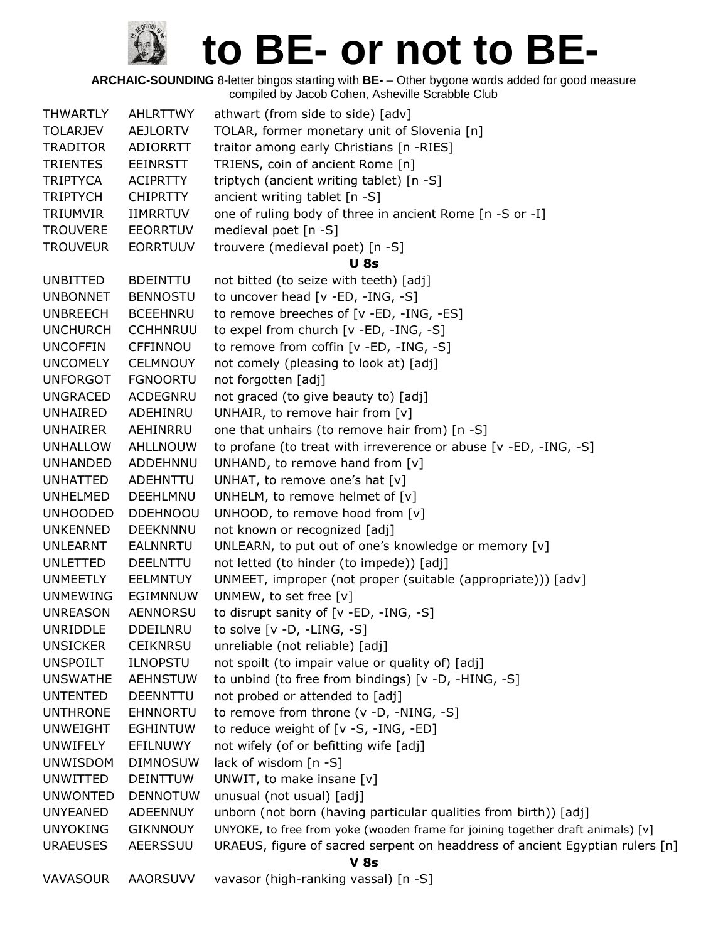| <b>THWARTLY</b> | <b>AHLRTTWY</b> | athwart (from side to side) [adv]                                               |
|-----------------|-----------------|---------------------------------------------------------------------------------|
| <b>TOLARJEV</b> | AEJLORTV        | TOLAR, former monetary unit of Slovenia [n]                                     |
| <b>TRADITOR</b> | ADIORRTT        | traitor among early Christians [n -RIES]                                        |
| <b>TRIENTES</b> | <b>EEINRSTT</b> | TRIENS, coin of ancient Rome [n]                                                |
| <b>TRIPTYCA</b> | <b>ACIPRTTY</b> | triptych (ancient writing tablet) [n -S]                                        |
| <b>TRIPTYCH</b> | <b>CHIPRTTY</b> | ancient writing tablet [n -S]                                                   |
| TRIUMVIR        | <b>IIMRRTUV</b> | one of ruling body of three in ancient Rome [n -S or -I]                        |
| <b>TROUVERE</b> | <b>EEORRTUV</b> | medieval poet [n -S]                                                            |
| <b>TROUVEUR</b> | <b>EORRTUUV</b> | trouvere (medieval poet) [n -S]                                                 |
|                 |                 | <b>U</b> 8s                                                                     |
| <b>UNBITTED</b> | <b>BDEINTTU</b> | not bitted (to seize with teeth) [adj]                                          |
| <b>UNBONNET</b> | <b>BENNOSTU</b> | to uncover head [v -ED, -ING, -S]                                               |
| <b>UNBREECH</b> | <b>BCEEHNRU</b> | to remove breeches of [v -ED, -ING, -ES]                                        |
| <b>UNCHURCH</b> | <b>CCHHNRUU</b> | to expel from church [v -ED, -ING, -S]                                          |
| <b>UNCOFFIN</b> | <b>CFFINNOU</b> | to remove from coffin [v -ED, -ING, -S]                                         |
| <b>UNCOMELY</b> | <b>CELMNOUY</b> | not comely (pleasing to look at) [adj]                                          |
| <b>UNFORGOT</b> | <b>FGNOORTU</b> | not forgotten [adj]                                                             |
| <b>UNGRACED</b> | <b>ACDEGNRU</b> | not graced (to give beauty to) [adj]                                            |
| UNHAIRED        | ADEHINRU        | UNHAIR, to remove hair from $[v]$                                               |
| <b>UNHAIRER</b> | AEHINRRU        | one that unhairs (to remove hair from) [n -S]                                   |
| <b>UNHALLOW</b> | AHLLNOUW        | to profane (to treat with irreverence or abuse [v -ED, -ING, -S]                |
| UNHANDED        | ADDEHNNU        | UNHAND, to remove hand from [v]                                                 |
| <b>UNHATTED</b> | <b>ADEHNTTU</b> | UNHAT, to remove one's hat [v]                                                  |
| <b>UNHELMED</b> | DEEHLMNU        | UNHELM, to remove helmet of [v]                                                 |
| <b>UNHOODED</b> | <b>DDEHNOOU</b> | UNHOOD, to remove hood from [v]                                                 |
| <b>UNKENNED</b> | <b>DEEKNNNU</b> | not known or recognized [adj]                                                   |
| UNLEARNT        | <b>EALNNRTU</b> | UNLEARN, to put out of one's knowledge or memory [v]                            |
| <b>UNLETTED</b> | <b>DEELNTTU</b> | not letted (to hinder (to impede)) [adj]                                        |
| <b>UNMEETLY</b> | <b>EELMNTUY</b> | UNMEET, improper (not proper (suitable (appropriate))) [adv]                    |
| <b>UNMEWING</b> | EGIMNNUW        | UNMEW, to set free [v]                                                          |
| <b>UNREASON</b> | <b>AENNORSU</b> | to disrupt sanity of [v -ED, -ING, -S]                                          |
| UNRIDDLE        | <b>DDEILNRU</b> | to solve $[v -D, -LING, -S]$                                                    |
| <b>UNSICKER</b> | <b>CEIKNRSU</b> | unreliable (not reliable) [adj]                                                 |
| <b>UNSPOILT</b> | <b>ILNOPSTU</b> | not spoilt (to impair value or quality of) [adj]                                |
| <b>UNSWATHE</b> | <b>AEHNSTUW</b> | to unbind (to free from bindings) [v -D, -HING, -S]                             |
| <b>UNTENTED</b> | <b>DEENNTTU</b> | not probed or attended to [adj]                                                 |
| <b>UNTHRONE</b> | <b>EHNNORTU</b> | to remove from throne (v -D, -NING, -S]                                         |
| <b>UNWEIGHT</b> | <b>EGHINTUW</b> | to reduce weight of [v -S, -ING, -ED]                                           |
| <b>UNWIFELY</b> | EFILNUWY        | not wifely (of or befitting wife [adj]                                          |
| <b>UNWISDOM</b> | <b>DIMNOSUW</b> | lack of wisdom [n -S]                                                           |
| UNWITTED        | <b>DEINTTUW</b> | UNWIT, to make insane [v]                                                       |
| <b>UNWONTED</b> | <b>DENNOTUW</b> | unusual (not usual) [adj]                                                       |
| <b>UNYEANED</b> | ADEENNUY        | unborn (not born (having particular qualities from birth)) [adj]                |
| <b>UNYOKING</b> | <b>GIKNNOUY</b> | UNYOKE, to free from yoke (wooden frame for joining together draft animals) [v] |
| <b>URAEUSES</b> | AEERSSUU        | URAEUS, figure of sacred serpent on headdress of ancient Egyptian rulers [n]    |
|                 |                 | <b>V</b> 8s                                                                     |
| <b>VAVASOUR</b> | AAORSUVV        | vavasor (high-ranking vassal) [n -S]                                            |